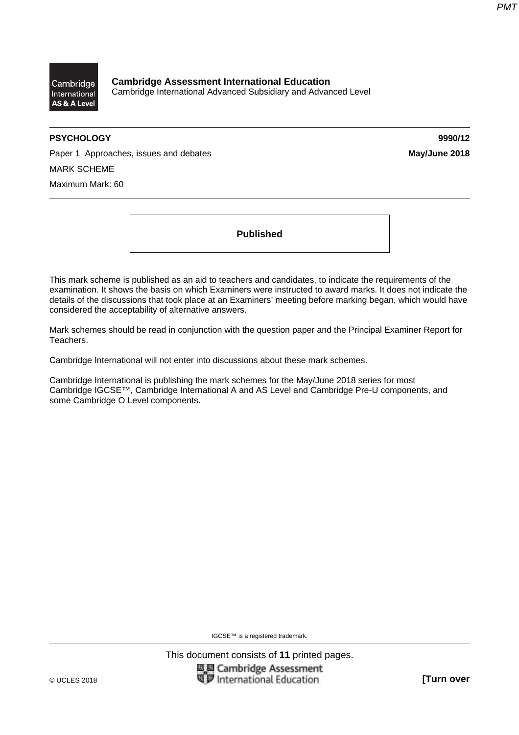

**Cambridge Assessment International Education**  Cambridge International Advanced Subsidiary and Advanced Level

# **PSYCHOLOGY 9990/12**

Paper 1 Approaches, issues and debates **May/June 2018 May/June 2018** MARK SCHEME Maximum Mark: 60

**Published** 

This mark scheme is published as an aid to teachers and candidates, to indicate the requirements of the examination. It shows the basis on which Examiners were instructed to award marks. It does not indicate the details of the discussions that took place at an Examiners' meeting before marking began, which would have considered the acceptability of alternative answers.

Mark schemes should be read in conjunction with the question paper and the Principal Examiner Report for Teachers.

Cambridge International will not enter into discussions about these mark schemes.

Cambridge International is publishing the mark schemes for the May/June 2018 series for most Cambridge IGCSE™, Cambridge International A and AS Level and Cambridge Pre-U components, and some Cambridge O Level components.

IGCSE™ is a registered trademark.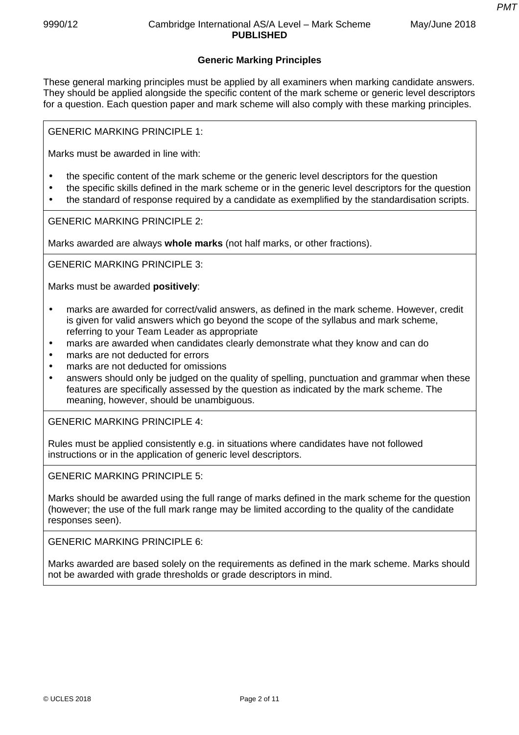# **Generic Marking Principles**

These general marking principles must be applied by all examiners when marking candidate answers. They should be applied alongside the specific content of the mark scheme or generic level descriptors for a question. Each question paper and mark scheme will also comply with these marking principles.

GENERIC MARKING PRINCIPLE 1:

Marks must be awarded in line with:

- the specific content of the mark scheme or the generic level descriptors for the question
- the specific skills defined in the mark scheme or in the generic level descriptors for the question
- the standard of response required by a candidate as exemplified by the standardisation scripts.

GENERIC MARKING PRINCIPLE 2:

Marks awarded are always **whole marks** (not half marks, or other fractions).

GENERIC MARKING PRINCIPLE 3:

Marks must be awarded **positively**:

- marks are awarded for correct/valid answers, as defined in the mark scheme. However, credit is given for valid answers which go beyond the scope of the syllabus and mark scheme, referring to your Team Leader as appropriate
- marks are awarded when candidates clearly demonstrate what they know and can do
- marks are not deducted for errors
- marks are not deducted for omissions
- answers should only be judged on the quality of spelling, punctuation and grammar when these features are specifically assessed by the question as indicated by the mark scheme. The meaning, however, should be unambiguous.

GENERIC MARKING PRINCIPLE 4:

Rules must be applied consistently e.g. in situations where candidates have not followed instructions or in the application of generic level descriptors.

GENERIC MARKING PRINCIPLE 5:

Marks should be awarded using the full range of marks defined in the mark scheme for the question (however; the use of the full mark range may be limited according to the quality of the candidate responses seen).

GENERIC MARKING PRINCIPLE 6:

Marks awarded are based solely on the requirements as defined in the mark scheme. Marks should not be awarded with grade thresholds or grade descriptors in mind.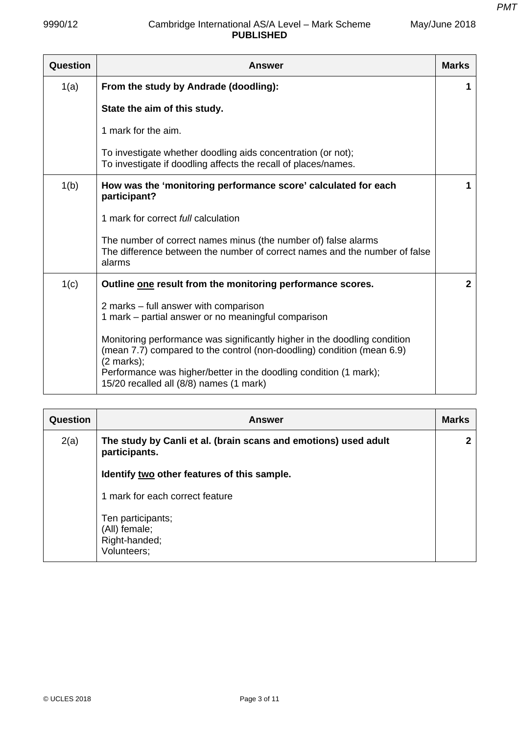| 9990/12  | Cambridge International AS/A Level - Mark Scheme<br><b>PUBLISHED</b>                                                                                   | May/June 2018  |
|----------|--------------------------------------------------------------------------------------------------------------------------------------------------------|----------------|
| Question | Answer                                                                                                                                                 | <b>Marks</b>   |
| 1(a)     | From the study by Andrade (doodling):                                                                                                                  | 1              |
|          | State the aim of this study.                                                                                                                           |                |
|          | 1 mark for the aim.                                                                                                                                    |                |
|          | To investigate whether doodling aids concentration (or not);<br>To investigate if doodling affects the recall of places/names.                         |                |
| 1(b)     | How was the 'monitoring performance score' calculated for each<br>participant?                                                                         | 1              |
|          | 1 mark for correct <i>full</i> calculation                                                                                                             |                |
|          | The number of correct names minus (the number of) false alarms<br>The difference between the number of correct names and the number of false<br>alarms |                |
| 1(c)     | Outline one result from the monitoring performance scores.                                                                                             | $\overline{2}$ |
|          | 2 marks – full answer with comparison<br>1 mark - partial answer or no meaningful comparison                                                           |                |
|          | Monitoring performance was significantly higher in the doodling condition                                                                              |                |

| <u>maniformia portormanoo was significantly manor in the accumity condition</u><br>(mean 7.7) compared to the control (non-doodling) condition (mean 6.9)<br>$(2 \text{ marks})$ ;<br>Performance was higher/better in the doodling condition (1 mark);<br>15/20 recalled all (8/8) names (1 mark) |  |
|----------------------------------------------------------------------------------------------------------------------------------------------------------------------------------------------------------------------------------------------------------------------------------------------------|--|
|                                                                                                                                                                                                                                                                                                    |  |

| Question | <b>Answer</b>                                                                    | <b>Marks</b> |
|----------|----------------------------------------------------------------------------------|--------------|
| 2(a)     | The study by Canli et al. (brain scans and emotions) used adult<br>participants. | 2            |
|          | Identify two other features of this sample.                                      |              |
|          | 1 mark for each correct feature                                                  |              |
|          | Ten participants;<br>(All) female;<br>Right-handed;<br>Volunteers;               |              |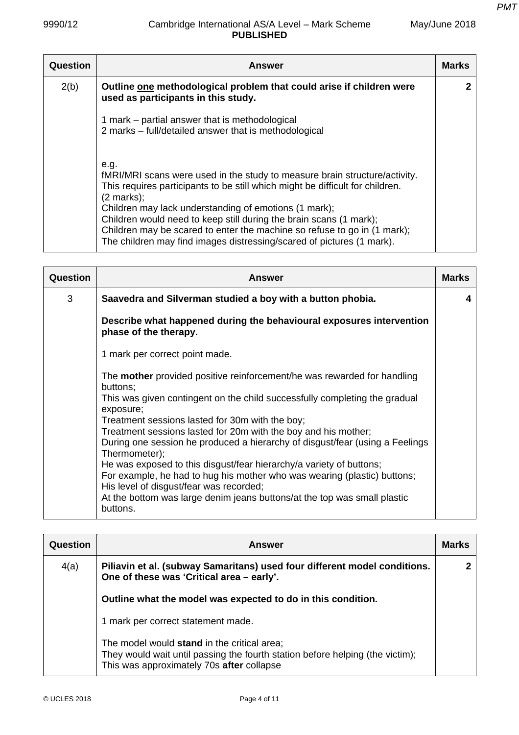May/June 2018

| Question | <b>Answer</b>                                                                                                                                                                                                                                                                                                                                                                                                                                                                    | <b>Marks</b> |
|----------|----------------------------------------------------------------------------------------------------------------------------------------------------------------------------------------------------------------------------------------------------------------------------------------------------------------------------------------------------------------------------------------------------------------------------------------------------------------------------------|--------------|
| 2(b)     | Outline one methodological problem that could arise if children were<br>used as participants in this study.                                                                                                                                                                                                                                                                                                                                                                      | 2            |
|          | 1 mark – partial answer that is methodological<br>2 marks – full/detailed answer that is methodological                                                                                                                                                                                                                                                                                                                                                                          |              |
|          | e.g.<br>fMRI/MRI scans were used in the study to measure brain structure/activity.<br>This requires participants to be still which might be difficult for children.<br>$(2 \text{ marks})$ ;<br>Children may lack understanding of emotions (1 mark);<br>Children would need to keep still during the brain scans (1 mark);<br>Children may be scared to enter the machine so refuse to go in (1 mark);<br>The children may find images distressing/scared of pictures (1 mark). |              |

| <b>Question</b> | <b>Answer</b>                                                                                                                                                                                                                                                                                                                                                                                                                                                                                                                                                                                                                                                                                     | <b>Marks</b> |
|-----------------|---------------------------------------------------------------------------------------------------------------------------------------------------------------------------------------------------------------------------------------------------------------------------------------------------------------------------------------------------------------------------------------------------------------------------------------------------------------------------------------------------------------------------------------------------------------------------------------------------------------------------------------------------------------------------------------------------|--------------|
| 3               | Saavedra and Silverman studied a boy with a button phobia.                                                                                                                                                                                                                                                                                                                                                                                                                                                                                                                                                                                                                                        | 4            |
|                 | Describe what happened during the behavioural exposures intervention<br>phase of the therapy.                                                                                                                                                                                                                                                                                                                                                                                                                                                                                                                                                                                                     |              |
|                 | 1 mark per correct point made.                                                                                                                                                                                                                                                                                                                                                                                                                                                                                                                                                                                                                                                                    |              |
|                 | The <b>mother</b> provided positive reinforcement/he was rewarded for handling<br>buttons;<br>This was given contingent on the child successfully completing the gradual<br>exposure;<br>Treatment sessions lasted for 30m with the boy;<br>Treatment sessions lasted for 20m with the boy and his mother;<br>During one session he produced a hierarchy of disgust/fear (using a Feelings<br>Thermometer);<br>He was exposed to this disgust/fear hierarchy/a variety of buttons;<br>For example, he had to hug his mother who was wearing (plastic) buttons;<br>His level of disgust/fear was recorded;<br>At the bottom was large denim jeans buttons/at the top was small plastic<br>buttons. |              |

| Question | <b>Answer</b>                                                                                                                                                             | Marks |
|----------|---------------------------------------------------------------------------------------------------------------------------------------------------------------------------|-------|
| 4(a)     | Piliavin et al. (subway Samaritans) used four different model conditions.<br>One of these was 'Critical area - early'.                                                    | 2     |
|          | Outline what the model was expected to do in this condition.                                                                                                              |       |
|          | 1 mark per correct statement made.                                                                                                                                        |       |
|          | The model would stand in the critical area;<br>They would wait until passing the fourth station before helping (the victim);<br>This was approximately 70s after collapse |       |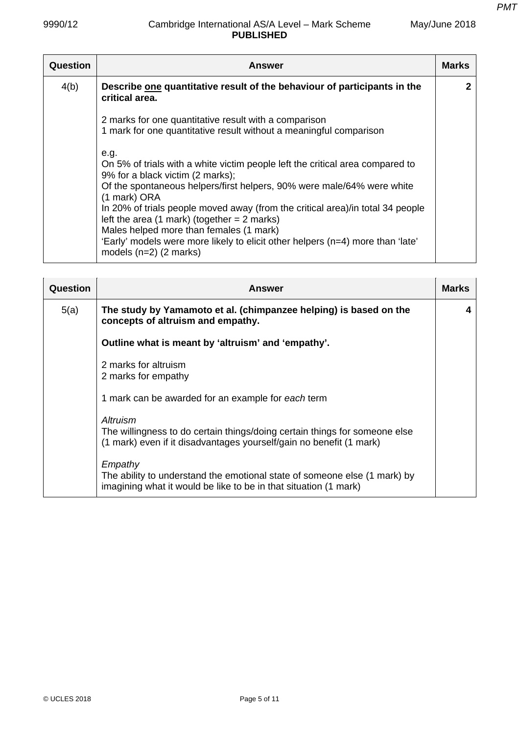| Question | <b>Answer</b>                                                                                                                                                                                                                                                                                                                                                                                                                                                                                                   | <b>Marks</b> |
|----------|-----------------------------------------------------------------------------------------------------------------------------------------------------------------------------------------------------------------------------------------------------------------------------------------------------------------------------------------------------------------------------------------------------------------------------------------------------------------------------------------------------------------|--------------|
| 4(b)     | Describe one quantitative result of the behaviour of participants in the<br>critical area.                                                                                                                                                                                                                                                                                                                                                                                                                      |              |
|          | 2 marks for one quantitative result with a comparison<br>1 mark for one quantitative result without a meaningful comparison                                                                                                                                                                                                                                                                                                                                                                                     |              |
|          | e.g.<br>On 5% of trials with a white victim people left the critical area compared to<br>9% for a black victim (2 marks);<br>Of the spontaneous helpers/first helpers, 90% were male/64% were white<br>(1 mark) ORA<br>In 20% of trials people moved away (from the critical area)/in total 34 people<br>left the area $(1$ mark) (together = 2 marks)<br>Males helped more than females (1 mark)<br>'Early' models were more likely to elicit other helpers (n=4) more than 'late'<br>models $(n=2)$ (2 marks) |              |

| Question | Answer                                                                                                                                                        | <b>Marks</b> |
|----------|---------------------------------------------------------------------------------------------------------------------------------------------------------------|--------------|
| 5(a)     | The study by Yamamoto et al. (chimpanzee helping) is based on the<br>concepts of altruism and empathy.                                                        | 4            |
|          | Outline what is meant by 'altruism' and 'empathy'.                                                                                                            |              |
|          | 2 marks for altruism<br>2 marks for empathy                                                                                                                   |              |
|          | 1 mark can be awarded for an example for each term                                                                                                            |              |
|          | Altruism<br>The willingness to do certain things/doing certain things for someone else<br>(1 mark) even if it disadvantages yourself/gain no benefit (1 mark) |              |
|          | Empathy<br>The ability to understand the emotional state of someone else (1 mark) by<br>imagining what it would be like to be in that situation (1 mark)      |              |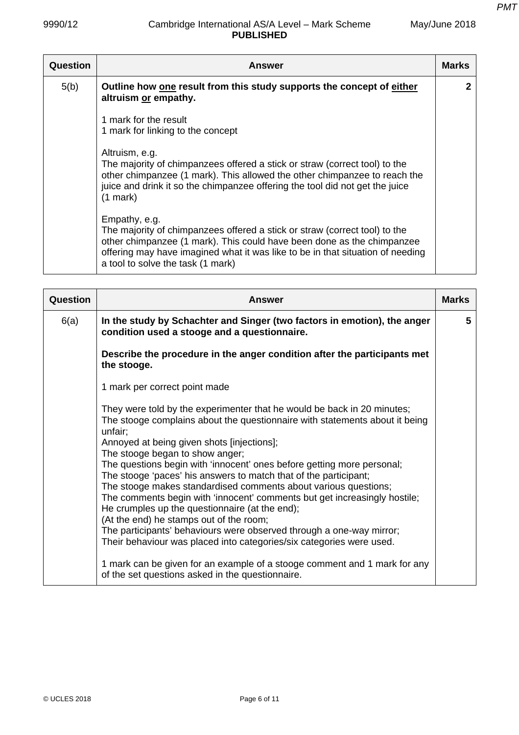| Question | <b>Answer</b>                                                                                                                                                                                                                                                                                | <b>Marks</b> |
|----------|----------------------------------------------------------------------------------------------------------------------------------------------------------------------------------------------------------------------------------------------------------------------------------------------|--------------|
| 5(b)     | Outline how one result from this study supports the concept of either<br>altruism or empathy.                                                                                                                                                                                                | 2            |
|          | 1 mark for the result<br>1 mark for linking to the concept                                                                                                                                                                                                                                   |              |
|          | Altruism, e.g.<br>The majority of chimpanzees offered a stick or straw (correct tool) to the<br>other chimpanzee (1 mark). This allowed the other chimpanzee to reach the<br>juice and drink it so the chimpanzee offering the tool did not get the juice<br>$(1$ mark)                      |              |
|          | Empathy, e.g.<br>The majority of chimpanzees offered a stick or straw (correct tool) to the<br>other chimpanzee (1 mark). This could have been done as the chimpanzee<br>offering may have imagined what it was like to be in that situation of needing<br>a tool to solve the task (1 mark) |              |

| Question | <b>Answer</b>                                                                                                                                                                                                                                                                                                                                                                                                                                                                                                                                                                                                                                                                                                                                                                                 | <b>Marks</b> |
|----------|-----------------------------------------------------------------------------------------------------------------------------------------------------------------------------------------------------------------------------------------------------------------------------------------------------------------------------------------------------------------------------------------------------------------------------------------------------------------------------------------------------------------------------------------------------------------------------------------------------------------------------------------------------------------------------------------------------------------------------------------------------------------------------------------------|--------------|
| 6(a)     | In the study by Schachter and Singer (two factors in emotion), the anger<br>condition used a stooge and a questionnaire.                                                                                                                                                                                                                                                                                                                                                                                                                                                                                                                                                                                                                                                                      | 5            |
|          | Describe the procedure in the anger condition after the participants met<br>the stooge.                                                                                                                                                                                                                                                                                                                                                                                                                                                                                                                                                                                                                                                                                                       |              |
|          | 1 mark per correct point made                                                                                                                                                                                                                                                                                                                                                                                                                                                                                                                                                                                                                                                                                                                                                                 |              |
|          | They were told by the experimenter that he would be back in 20 minutes;<br>The stooge complains about the questionnaire with statements about it being<br>unfair;<br>Annoyed at being given shots [injections];<br>The stooge began to show anger;<br>The questions begin with 'innocent' ones before getting more personal;<br>The stooge 'paces' his answers to match that of the participant;<br>The stooge makes standardised comments about various questions;<br>The comments begin with 'innocent' comments but get increasingly hostile;<br>He crumples up the questionnaire (at the end);<br>(At the end) he stamps out of the room;<br>The participants' behaviours were observed through a one-way mirror;<br>Their behaviour was placed into categories/six categories were used. |              |
|          | 1 mark can be given for an example of a stooge comment and 1 mark for any<br>of the set questions asked in the questionnaire.                                                                                                                                                                                                                                                                                                                                                                                                                                                                                                                                                                                                                                                                 |              |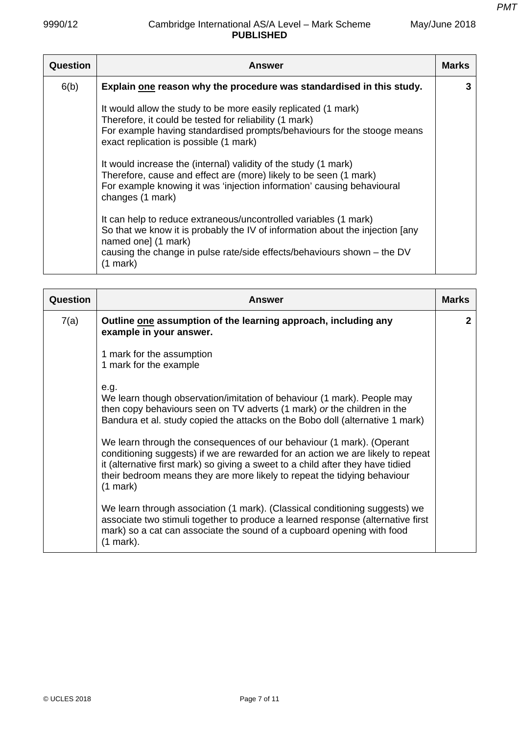| May/June 2018 |
|---------------|
|---------------|

| Question | <b>Answer</b>                                                                                                                                                                                                                                                                                                                                                                                                                                                                       | <b>Marks</b> |
|----------|-------------------------------------------------------------------------------------------------------------------------------------------------------------------------------------------------------------------------------------------------------------------------------------------------------------------------------------------------------------------------------------------------------------------------------------------------------------------------------------|--------------|
| 6(b)     | Explain one reason why the procedure was standardised in this study.                                                                                                                                                                                                                                                                                                                                                                                                                | 3            |
|          | It would allow the study to be more easily replicated (1 mark)<br>Therefore, it could be tested for reliability (1 mark)<br>For example having standardised prompts/behaviours for the stooge means<br>exact replication is possible (1 mark)<br>It would increase the (internal) validity of the study (1 mark)<br>Therefore, cause and effect are (more) likely to be seen (1 mark)<br>For example knowing it was 'injection information' causing behavioural<br>changes (1 mark) |              |
|          | It can help to reduce extraneous/uncontrolled variables (1 mark)<br>So that we know it is probably the IV of information about the injection [any<br>named one] (1 mark)<br>causing the change in pulse rate/side effects/behaviours shown - the DV<br>$(1$ mark)                                                                                                                                                                                                                   |              |

| Question | <b>Answer</b>                                                                                                                                                                                                                                                                                                                         | <b>Marks</b> |
|----------|---------------------------------------------------------------------------------------------------------------------------------------------------------------------------------------------------------------------------------------------------------------------------------------------------------------------------------------|--------------|
| 7(a)     | Outline one assumption of the learning approach, including any<br>example in your answer.                                                                                                                                                                                                                                             | 2            |
|          | 1 mark for the assumption<br>1 mark for the example                                                                                                                                                                                                                                                                                   |              |
|          | e.g.<br>We learn though observation/imitation of behaviour (1 mark). People may<br>then copy behaviours seen on TV adverts (1 mark) or the children in the<br>Bandura et al. study copied the attacks on the Bobo doll (alternative 1 mark)                                                                                           |              |
|          | We learn through the consequences of our behaviour (1 mark). (Operant<br>conditioning suggests) if we are rewarded for an action we are likely to repeat<br>it (alternative first mark) so giving a sweet to a child after they have tidied<br>their bedroom means they are more likely to repeat the tidying behaviour<br>$(1$ mark) |              |
|          | We learn through association (1 mark). (Classical conditioning suggests) we<br>associate two stimuli together to produce a learned response (alternative first<br>mark) so a cat can associate the sound of a cupboard opening with food<br>$(1$ mark).                                                                               |              |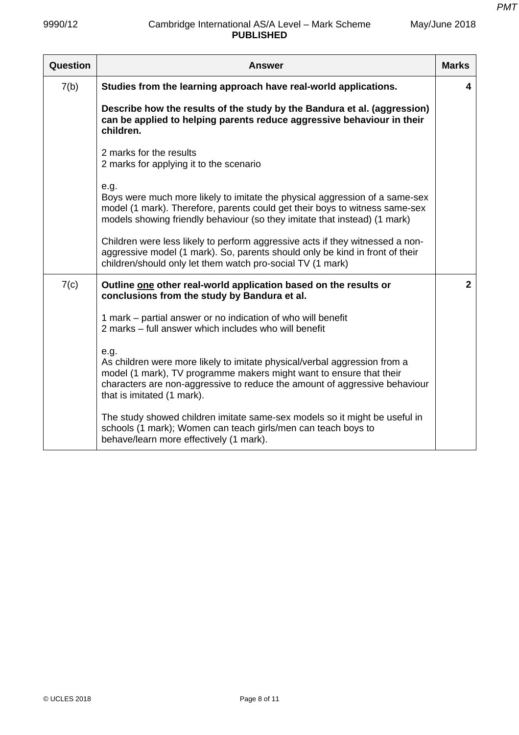| Question | Answer                                                                                                                                                                                                                                                               | <b>Marks</b> |
|----------|----------------------------------------------------------------------------------------------------------------------------------------------------------------------------------------------------------------------------------------------------------------------|--------------|
| 7(b)     | Studies from the learning approach have real-world applications.                                                                                                                                                                                                     | 4            |
|          | Describe how the results of the study by the Bandura et al. (aggression)<br>can be applied to helping parents reduce aggressive behaviour in their<br>children.                                                                                                      |              |
|          | 2 marks for the results<br>2 marks for applying it to the scenario                                                                                                                                                                                                   |              |
|          | e.g.<br>Boys were much more likely to imitate the physical aggression of a same-sex<br>model (1 mark). Therefore, parents could get their boys to witness same-sex<br>models showing friendly behaviour (so they imitate that instead) (1 mark)                      |              |
|          | Children were less likely to perform aggressive acts if they witnessed a non-<br>aggressive model (1 mark). So, parents should only be kind in front of their<br>children/should only let them watch pro-social TV (1 mark)                                          |              |
| 7(c)     | Outline one other real-world application based on the results or<br>conclusions from the study by Bandura et al.                                                                                                                                                     | $\mathbf{2}$ |
|          | 1 mark – partial answer or no indication of who will benefit<br>2 marks – full answer which includes who will benefit                                                                                                                                                |              |
|          | e.g.<br>As children were more likely to imitate physical/verbal aggression from a<br>model (1 mark), TV programme makers might want to ensure that their<br>characters are non-aggressive to reduce the amount of aggressive behaviour<br>that is imitated (1 mark). |              |
|          | The study showed children imitate same-sex models so it might be useful in<br>schools (1 mark); Women can teach girls/men can teach boys to<br>behave/learn more effectively (1 mark).                                                                               |              |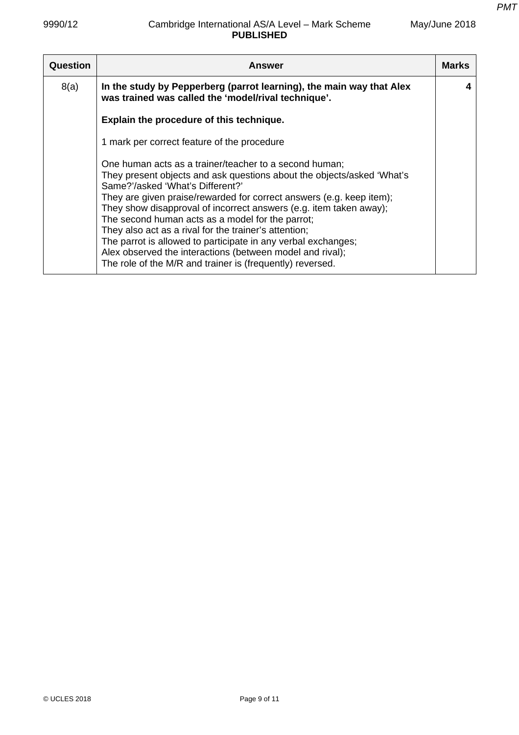May/June 2018

| Question | <b>Answer</b>                                                                                                                                                                                                                                                                                                                                                                                                                                                                                                                                                                                                              | <b>Marks</b> |
|----------|----------------------------------------------------------------------------------------------------------------------------------------------------------------------------------------------------------------------------------------------------------------------------------------------------------------------------------------------------------------------------------------------------------------------------------------------------------------------------------------------------------------------------------------------------------------------------------------------------------------------------|--------------|
| 8(a)     | In the study by Pepperberg (parrot learning), the main way that Alex<br>was trained was called the 'model/rival technique'.                                                                                                                                                                                                                                                                                                                                                                                                                                                                                                |              |
|          | Explain the procedure of this technique.                                                                                                                                                                                                                                                                                                                                                                                                                                                                                                                                                                                   |              |
|          | 1 mark per correct feature of the procedure                                                                                                                                                                                                                                                                                                                                                                                                                                                                                                                                                                                |              |
|          | One human acts as a trainer/teacher to a second human;<br>They present objects and ask questions about the objects/asked 'What's<br>Same?'/asked 'What's Different?'<br>They are given praise/rewarded for correct answers (e.g. keep item);<br>They show disapproval of incorrect answers (e.g. item taken away);<br>The second human acts as a model for the parrot;<br>They also act as a rival for the trainer's attention;<br>The parrot is allowed to participate in any verbal exchanges;<br>Alex observed the interactions (between model and rival);<br>The role of the M/R and trainer is (frequently) reversed. |              |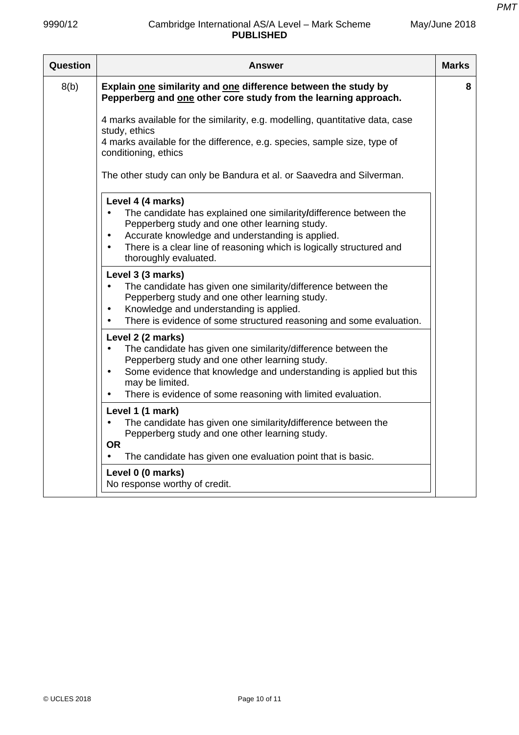| Question | <b>Answer</b>                                                                                                                                                                                                                                                                                                           | <b>Marks</b> |
|----------|-------------------------------------------------------------------------------------------------------------------------------------------------------------------------------------------------------------------------------------------------------------------------------------------------------------------------|--------------|
| 8(b)     | Explain one similarity and one difference between the study by<br>Pepperberg and one other core study from the learning approach.                                                                                                                                                                                       | 8            |
|          | 4 marks available for the similarity, e.g. modelling, quantitative data, case<br>study, ethics<br>4 marks available for the difference, e.g. species, sample size, type of<br>conditioning, ethics                                                                                                                      |              |
|          | The other study can only be Bandura et al. or Saavedra and Silverman.                                                                                                                                                                                                                                                   |              |
|          | Level 4 (4 marks)<br>The candidate has explained one similarity/difference between the<br>Pepperberg study and one other learning study.<br>Accurate knowledge and understanding is applied.<br>$\bullet$<br>There is a clear line of reasoning which is logically structured and<br>$\bullet$<br>thoroughly evaluated. |              |
|          | Level 3 (3 marks)<br>The candidate has given one similarity/difference between the<br>Pepperberg study and one other learning study.<br>Knowledge and understanding is applied.<br>There is evidence of some structured reasoning and some evaluation.<br>$\bullet$                                                     |              |
|          | Level 2 (2 marks)<br>The candidate has given one similarity/difference between the<br>$\bullet$<br>Pepperberg study and one other learning study.<br>Some evidence that knowledge and understanding is applied but this<br>$\bullet$<br>may be limited.<br>There is evidence of some reasoning with limited evaluation. |              |
|          | Level 1 (1 mark)<br>The candidate has given one similarity/difference between the<br>Pepperberg study and one other learning study.<br><b>OR</b><br>The candidate has given one evaluation point that is basic.<br>$\bullet$                                                                                            |              |
|          | Level 0 (0 marks)<br>No response worthy of credit.                                                                                                                                                                                                                                                                      |              |